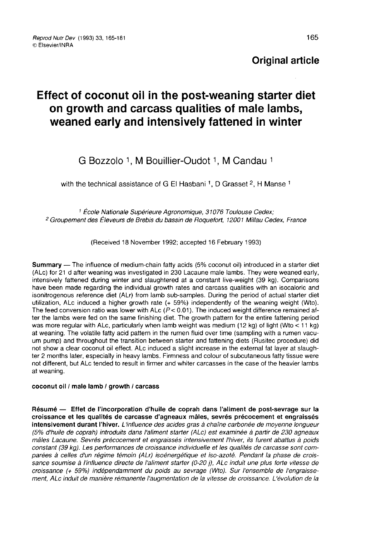# Effect of coconut oil in the post-weaning starter diet on growth and carcass qualities of male lambs, weaned early and intensively fattened in winter **f coconut oil in the post-weaning st<br>owth and carcass qualities of male<br>ed early and intensively fattened in<br>G Bozzolo 1, M Bouillier-Oudot 1, M Candau<br>he technical assistance of G El Hasbani 1, D Grasset <sup>2</sup>, H I**

# G Bozzolo 1, M Bouillier-Oudot 1, M Candau 1<br>with the technical assistance of G El Hasbani 1, D Grasset 2, H Manse 1

<sup>1</sup> École Nationale Supérieure Agronomique, 31076 Toulouse Cedex; <sup>2</sup> Groupement des Éleveurs de Brebis du bassin de Roquefort, 12001 Millau Cedex, France

(Received 18 November 1992; accepted 16 February 1993)

Summary ― The influence of medium-chain fatty acids (5% coconut oil) introduced in a starter diet (ALc) for 21 d after weaning was investigated in 230 Lacaune male lambs. They were weaned early, intensively fattened during winter and slaughtered at a constant live-weight (39 kg). Comparisons have been made regarding the individual growth rates and carcass qualities with an isocaloric and isonitrogenous reference diet (ALr) from lamb sub-samples. During the period of actual starter diet utilization, ALc induced a higher growth rate (+ 59%) independently of the weaning weight (Wto). The feed conversion ratio was lower with ALc  $(P < 0.01)$ . The induced weight difference remained after the lambs were fed on the same finishing diet. The growth pattern for the entire fattening period was more regular with ALc, particularly when lamb weight was medium (12 kg) of light (Wto < 11 kg) at weaning. The volatile fatty acid pattern in the rumen fluid over time (sampling with a rumen vacuum pump) and throughout the transition between starter and fattening diets (Rusitec procedure) did not show a clear coconut oil effect. ALc induced a slight increase in the external fat layer at slaugh ter 2 months later, especially in heavy lambs. Firmness and colour of subcutaneous fatty tissue were not different, but ALc tended to result in firmer and whiter carcasses in the case of the heavier lambs at weaning.

#### coconut oil / male lamb / growth / carcass

Résumé ― Effet de l'incorporation d'huile de coprah dans l'aliment de post-sevrage sur la croissance et les qualités de carcasse d'agneaux mâles, sevrés précocement et engraissés intensivement durant l'hiver. L'influence des acides gras à chaîne carbonée de moyenne longueur (5% d'huile de coprah) introduits dans l'aliment starter (ALc) est examinée à partir de 230 agneaux mâles Lacaune. Sevrés précocement et engraissés intensivement l'hiver, ils furent abattus à poids constant (39 kg). Les performances de croissance individuelle et les qualités de carcasse sont comparées à celles d'un régime témoin (ALr) isoénergétique et iso-azoté. Pendant la phase de croissance soumise à l'influence directe de l'aliment starter (0-20 j), ALc induit une plus forte vitesse de croissance (+ 59%) indépendamment du poids au sevrage (Wto). Sur l'ensemble de l'engraissement, ALc induit de manière rémanente l'augmentation de la vitesse de croissance. L'évolution de la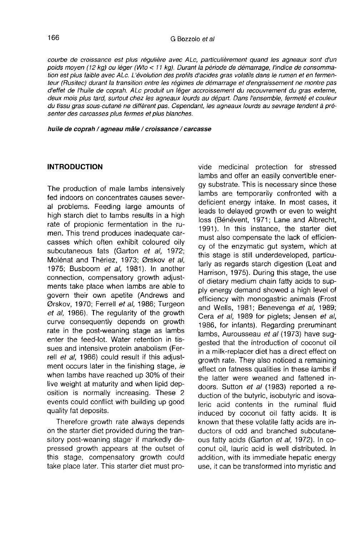courbe de croissance est plus régulière avec ALc, particulièrement quand les agneaux sont d'un poids moyen (12 kg) ou léger (Wto < 11 kg). Durant la période de démarrage, l'indice de consommation est plus faible avec ALc. L'évolution des profils d'acides gras volatils dans le rumen et en fermenteur (Rusitec) durant la transition entre les régimes de démarrage et d'engraissement ne montre pas d'effet de l'huile de coprah. ALc produit un léger accroissement du recouvrement du gras externe, deux mois plus tard, surtout chez les agneaux lourds au départ. Dans l'ensemble, fermeté et couleur du tissu gras sous-cutané ne diffèrent pas. Cependant, les agneaux lourds au sevrage tendent à pré senter des carcasses plus fermes et plus blanches.

huile de coprah / agneau mâle / croissance / carcasse

#### INTRODUCTION

The production of male lambs intensively fed indoors on concentrates causes several problems. Feeding large amounts of high starch diet to lambs results in a high rate of propionic fermentation in the rumen. This trend produces inadequate carcasses which often exhibit coloured oily subcutaneous fats (Garton et al, 1972; Molénat and Thériez, 1973; Ørskov et al, 1975; Busboom et al, 1981). In another connection, compensatory growth adjustments take place when lambs are able to govern their own apetite (Andrews and Ørskov, 1970; Ferrell et al, 1986; Turgeon et al, 1986). The regularity of the growth curve consequently depends on growth rate in the post-weaning stage as lambs enter the feed-lot. Water retention in tissues and intensive protein anabolism (Ferrell et al, 1986) could result if this adjustment occurs later in the finishing stage, ie when lambs have reached up 30% of their live weight at maturity and when lipid deposition is normally increasing. These 2 events could conflict with building up good quality fat deposits.

Therefore growth rate always depends on the starter diet provided during the tran-Therefore growth rate always depends<br>on the starter diet provided during the tran-<br>sitory post-weaning stage 'if markedly de-<br>pressed growth appears at the outset of pressed growth appears at the outset of this stage, compensatory growth could take place later. This starter diet must provide medicinal protection for stressed lambs and offer an easily convertible energy substrate. This is necessary since these lambs are temporarily confronted with a deficient energy intake. In most cases, it leads to delayed growth or even to weight loss (Bénévent, 1971; Lane and Albrecht, 1991). in this instance, the starter diet must also compensate the lack of efficiency of the enzymatic gut system, which at this stage is still underdeveloped, particularly as regards starch digestion (Leat and Harrison, 1975). During this stage, the use of dietary medium chain fatty acids to supply energy demand showed a high level of efficiency with monogastric animals (Frost and Wells, 1981; Benevenga et al, 1989; Cera et al, 1989 for piglets; Jensen et al, 1986, for infants). Regarding preruminant lambs, Aurousseau et al (1973) have suggested that the introduction of coconut oil in a milk-replacer diet has a direct effect on growth rate. They also noticed a remaining effect on fatness qualities in these lambs if the latter were weaned and fattened indoors. Sutton et al (1983) reported a reduction of the butyric, isobutyric and isovaleric acid contents in the ruminal fluid induced by coconut oil fatty acids. It is known that these volatile fatty acids are inductors of odd and branched subcutaneous fatty acids (Garton et al, 1972). In coconut oil, lauric acid is well distributed. In addition, with its immediate hepatic energy use, it can be transformed into myristic and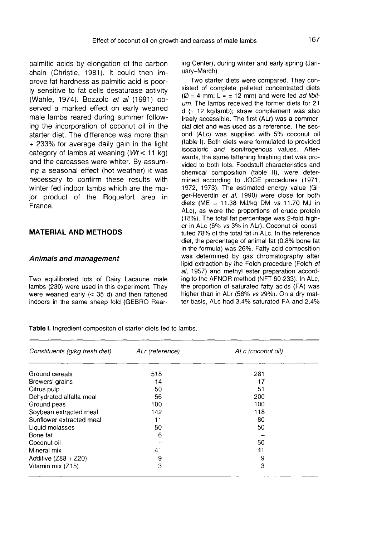palmitic acids by elongation of the carbon chain (Christie, 1981). It could then improve fat hardness as palmitic acid is poorly sensitive to fat cells desaturase activity (Wahle, 1974). Bozzolo et al (1991) observed a marked effect on early weaned male lambs reared during summer following the incorporation of coconut oil in the starter diet. The difference was more than + 233% for average daily gain in the light category of lambs at weaning ( $Wt < 11$  kg) and the carcasses were whiter. By assuming a seasonal effect (hot weather) it was necessary to confirm these results with winter fed indoor lambs which are the major product of the Roquefort area in France.

# MATERIAL AND METHODS

#### Animals and management

Two equilibrated lots of Dairy Lacaune male lambs (230) were used in this experiment. They were weaned early (< 35 d) and then fattened indoors in the same sheep fold (GEBRO Rearing Center), during winter and early spring (January-March).

Two starter diets were compared. They consisted of complete pelleted concentrated diets ( $\varnothing$  = 4 mm; L  $\approx$  ± 12 mm) and were fed *ad libit*um. The lambs received the former diets for 21  $d \approx 12$  kg/lamb); straw complement was also freely accessible. The first (ALr) was a commercial diet and was used as a reference. The second (ALc) was supplied with 5% coconut oil (table I). Both diets were formulated to provided isocaloric and isonitrogenous values. Afterwards, the same fattening finishing diet was provided to both lots. Foodstuff characteristics and chemical composition (table 11), were determined according to JOCE procedures (1971, 1972, 1973). The estimated energy value (Giger-Reverdin et al. 1990) were close for both diets (ME <sup>=</sup> 11.38 MJ/kg DM vs 11.70 MJ in ALc), as were the proportions of crude protein<br>(18%). The total fat percentage was 2-fold higher in ALc (6% vs 3% in ALr). Coconut oil constituted 78% of the total fat in ALc. In the reference diet, the percentage of animal fat (0.8% bone fat in the formula) was 26%. Fatty acid composition was determined by gas chromatography after lipid extraction by the Folch procedure (Folch et al, 1957) and methyl ester preparation according to the AFNOR method (NFT 60-233). In ALc, the proportion of saturated fatty acids (FA) was higher than in ALr (58% vs 29%). On a dry matter basis, ALc had 3.4% saturated FA and 2.4%

Table I. Ingredient compositon of starter diets fed to lambs.

| Constituents (g/kg fresh diet) | ALr (reference) | ALc (coconut oil) |
|--------------------------------|-----------------|-------------------|
| Ground cereals                 | 518             | 281               |
| Brewers' grains                | 14              | 17                |
| Citrus pulp                    | 50              | 51                |
| Dehydrated alfalfa meal        | 56              | 200               |
| Ground peas                    | 100             | 100               |
| Soybean extracted meal         | 142             | 118               |
| Sunflower extracted meal       | 11              | 80                |
| Liquid molasses                | 50              | 50                |
| Bone fat                       | 6               |                   |
| Coconut oil                    |                 | 50                |
| Mineral mix                    | 41              | 41                |
| Additive $(Z88 + Z20)$         | 9               | 9                 |
| Vitamin mix (Z15)              | 3               | 3                 |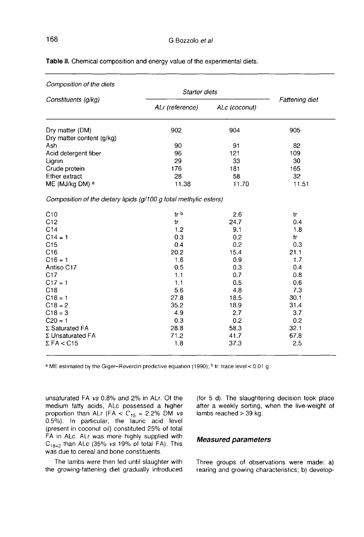| Composition of the diets                                          |                 |               |                |
|-------------------------------------------------------------------|-----------------|---------------|----------------|
| Constituents (g/kg)                                               | Starter diets   |               | Fattening diet |
|                                                                   | ALr (reference) | ALc (coconut) |                |
| Dry matter (DM)                                                   | 902             | 904           | 905            |
| Dry matter content (g/kg)                                         |                 |               |                |
| Ash                                                               | 90              | 91            | 82             |
| Acid detergent fiber                                              | 96              | 121           | 109            |
| Lignin                                                            | 29              | 33            | 30             |
| Crude protein                                                     | 176             | 181           | 165            |
| Ether extract                                                     | 28              | 58            | 32             |
| ME (MJ/kg DM) a                                                   | 11.38           | 11.70         | 11.51          |
| Composition of the dietary lipids (g/100 g total methylic esters) |                 |               |                |
| C10                                                               | tr b            | 2.6           | tr             |
| C12                                                               | tr              | 24.7          | 0.4            |
| C14                                                               | 1.2             | 9.1           | 1.8            |
| $C14 = 1$                                                         | 0.3             | 0.2           | tr             |
| C15                                                               | 0.4             | 0.2           | 0.3            |
| C16                                                               | 20.2            | 15.4          | 21.1           |
| $C16 = 1$                                                         | 1.6             | 0.9           | 1,7            |
| Antiso C17                                                        | 0.5             | 0.3           | 0.4            |
| C17                                                               | 1.1             | 0.7           | 0.8            |
| $C17 = 1$                                                         | 1.1             | 0.5           | 0.6            |
| C18                                                               | 5.6             | 4.8           | 7.3            |
| $C18 = 1$                                                         | 27.8            | 18.5          | 30.1           |
| $C18 = 2$                                                         | 35.2            | 18.9          | 31.4           |
| $C18 = 3$                                                         | 4.9             | 2.7           | 3.7            |
| $C20 = 1$                                                         | 0.3             | 0.2           | 0.2            |
| Σ Saturated FA                                                    | 28.8            | 58.3          | 32.1           |
| Σ Unsaturated FA                                                  | 71.2            | 41.7          | 67.8           |
| $\Sigma$ FA < C15                                                 | 1.8             | 37.3          | 2.5            |

Table II. Chemical composition and energy value of the experimental diets.

a ME estimated by the Giger-Reverdin predictive equation (1990); <sup>b</sup> tr: trace level < 0.01 g.

unsaturated FA vs 0.8% and 2% in ALr. Of the medium fatty acids, ALc possessed a higher proportion than ALr (FA  $<$  C<sub>15</sub> = 2.2% DM vs 0.5%). In particular, the lauric acid level (present in coconut oil) constituted 25% of total FA in ALc. ALr was more highly supplied with  $C_{18=2}$  than ALc (35% vs 19% of total FA). This was due to cereal and bone constituents.

The lambs were then fed until slaughter with the growing-fattening diet gradually introduced (for 5 d). The slaughtering decision took place after a weekly sorting, when the live-weight of lambs reached > 39 kg.

### Measured parameters

Three groups of observations were made: a) rearing and growing characteristics; b) develop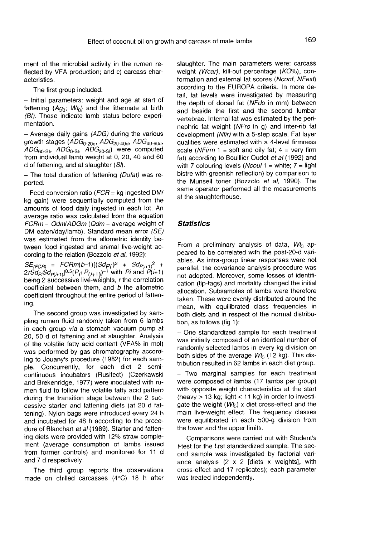ment of the microbial activity in the rumen reflected by VFA production; and c) carcass characteristics.

The first group included:

- Initial parameters: weight and age at start of fattening  $(Ag_0; Wt_0)$  and the littermate at birth (BI). These indicate lamb status before experimentation.

- Average daily gains  $(ADG)$  during the various  $\gamma$  is easily clearly<br>growth stages<br> $\gamma$  and  $\gamma$  and  $\gamma$  and  $\gamma$  and  $\gamma$  and  $\gamma$  and  $\gamma$  $Ag_0$ ;  $Wt_0$ ) and the litter<br>
indicate lamb status b<br>
daily gains  $(ADG)$  during<br>
ges  $(ADG_{0-20d}, ADG_{20-40},$ <br>  $ADG_{0-Si}, ADG_{20-Si})$  were<br>
dual lamb weight at 0, 20  $(ADG)$  during the<br>s  $(ADG)$  during the<br> $ADG_{20-S1}$  were consider the set of the set of the set of the set of the set of the set of the set of the set of the set of the set of the set of the set of the set of the set of the s the littermate at birth<br>status before experi-<br> $\partial G$ ) during the various<br> $\Delta DG_{20-40d}$ ,  $\Delta DG_{40-60d}$ ,<br> $\Delta DG_{20-30}$ , were computed were computed from individual lamb weight at 0, 20, 40 and 60 d of fattening, and at slaughter  $(S)$ .

 $-$  The total duration of fattening (Dufat) was reported.

 $-$  Feed conversion ratio ( $FCR$  = kg ingested DM/ kg gain) were sequentially computed from the amounts of food daily ingested in each lot. An average ratio was calculated from the equation  $FCRm = Qdm/ADGm$  ( $Qdm =$  average weight of DM eaten/day/lamb). Standard mean error (SE) was estimated from the allometric identity between food ingested and animal live-weight according to the relation (Bozzolo et al, 1992): Fraction (*C*  $CH = kg$  inglested DWR<br>
re sequentially computed from the<br>
food daily ingested in each lot. An<br>
b was calculated from the equation<br>  $m/AOGm$  ( $Qdm$  = average weight of<br>  $m/AOGm$  the allometric identity be-<br>
lead f

 $SE_{(FCR)} =$ <br> $2rSd$  =  $2rSd$  $2rSd_{Pi}Sd_{P(i+1)}]^{0.5}(P_i+P_{(i+1)})^{-1}$  with Pi and P(i+1) being 2 successive live-weights, r the correlation coefficient between them, and b the allometric coefficient throughout the entire period of fattening.

The second group was investigated by sampling rumen fluid randomly taken from 6 lambs in each group via a stomach vacuum pump at 20, 50 d of fattening and at slaughter. Analysis of the volatile fatty acid content (VFA% in mol) was performed by gas chromatography according to Jouany's procedure (1982) for each sample. Concurrently, for each diet 2 semicontinuous incubators (Rusitect) (Czerkawski and Brekenridge, 1977) were inoculated with rumen fluid to follow the volatile fatty acid pattern during the transition stage between the 2 successive starter and fattening diets (at 20 d fattening). Nylon bags were introduced every 24 h and incubated for 48 h according to the procedure of Blanchart et al (1989). Starter and fattening diets were provided with 12% straw comple ment (average consumption of lambs issued from former controls) and monitored for 11 d and 7 d respectively.

The third group reports the observations made on chilled carcasses (4°C) 18 h after slaughter. The main parameters were: carcass weight (Wcar), kill-out percentage (KO%), conformation and external fat scores (Nconf, NFext) according to the EUROPA criteria. In more detail, fat levels were investigated by measuring the depth of dorsal fat (NFdo in mm) between and beside the first and the second lumbar vertebrae. Internal fat was estimated by the perinephric fat weight (NFro in g) and inter-rib fat development (Nfir) with a 5-step scale. Fat layer qualities were estimated with a 4-level firmness scale (NFirm 1 = soft and oily fat; 4 = very firm fat) according to Bouillier-Oudot *et al* (1992) and with 7 colouring levels (*Ncoul* 1 = white;  $7 =$  light qualities were estimated with a 4-level firmness<br>scale (*NFirm* 1 = soft and oily fat; 4 = very firm<br>fat) according to Bouillier-Oudot *et al* (1992) and<br>with 7 colouring levels (*Ncoul* 1 = white; 7 = light<br>bistre with gr bistre with greenish reflection) by comparison to the Munsell toner (Bozzolo et al, 1990). The same operator performed all the measurements at the slaughterhouse.

#### **Statistics**

From a preliminary analysis of data,  $Wt_0$  appeared to be correlated with the post-20-d variables. As intra-group linear responses were not parallel, the covariance analysis procedure was not adopted. Moreover, some losses of identification (tip-tags) and mortality changed the initial allocation. Subsamples of lambs were therefore taken. These were evenly distributed around the mean, with equilibrated class frequencies in both diets and in respect of the normal distribution, as follows (fig 1):

- One standardized sample for each treatment was initially composed of an identical number of randomly selected lambs in every kg division on both sides of the average  $Wt_0$  (12 kg). This distribution resulted in 62 lambs in each diet group.

- Two marginal samples for each treatment were composed of lambs (17 lambs per group) with opposite weight characteristics at the start (heavy  $> 13$  kg; light  $< 11$  kg) in order to investigate the weight  $(Wt_0)$  x diet cross-effect and the main live-weight effect. The frequency classes were equilibrated in each 500-g division from the lower and the upper limits.

Comparisons were carried out with Student's t-test for the first standardized sample. The second sample was investigated by factorial variance analysis (2 x 2 [diets x weights], with cross-effect and 17 replicates); each parameter was treated independently.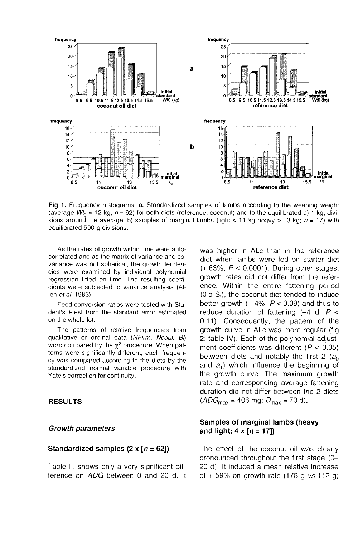

Fig 1. Frequency histograms. a. Standardized samples of lambs according to the weaning weight (average  $Wt_0 = 12$  kg;  $n = 62$ ) for both diets (reference, coconut) and to the equilibrated a) 1 kg, divisions around the average; b) samples of marginal lambs (light < 11 kg heavy > 13 kg;  $n = 17$ ) with equilibrated 500-g divisions.

As the rates of growth within time were autocorrelated and as the matrix of variance and covariance was not spherical, the growth tendencies were examined by individual polynomial regression fitted on time. The resulting coefficients were subjected to variance analysis (Allen et al, 1983).

Feed conversion ratios were tested with Student's *t*-test from the standard error estimated on the whole lot.

The patterns of relative frequencies from<br>qualitative or ordinal data (NFirm, Ncoul, BI) were compared by the  $\chi^2$  procedure. When pat-<br>terns were significantly different, each frequency was compared according to the diets by the standardized normal variable procedure with Yate's correction for continuity.

#### RESULTS

#### Growth parameters

#### Standardized samples (2 x  $[n = 62]$ )

Table III shows only a very significant difference on ADG between 0 and 20 d. It was higher in ALc than in the reference diet when lambs were fed on starter diet  $(+ 63\%; P < 0.0001)$ . During other stages, growth rates did not differ from the reference. Within the entire fattening period (0 d-SI), the coconut diet tended to induce better growth  $(+4\%; P < 0.09)$  and thus to reduce duration of fattening  $(-4)$  d;  $P <$  $0.11$ ). Consequently, the pattern of the growth curve in ALc was more regular (fig 2; table IV). Each of the polynomial adjustment coefficients was different ( $P < 0.05$ ) between diets and notably the first 2  $(a<sub>0</sub>)$ and  $a_1$ ) which influence the beginning of the growth curve. The maximum growth rate and corresponding average fattening duration did not differ between the 2 diets  $(ADG_{\text{max}} = 406 \text{ mg}; D_{\text{max}} = 70 \text{ d}).$ 

# Samples of marginal lambs (heavy and light;  $4 \times [n = 17]$

The effect of the coconut oil was clearly pronounced throughout the first stage (0- 20 d). It induced a mean relative increase of  $+59%$  on growth rate (178 g vs 112 g;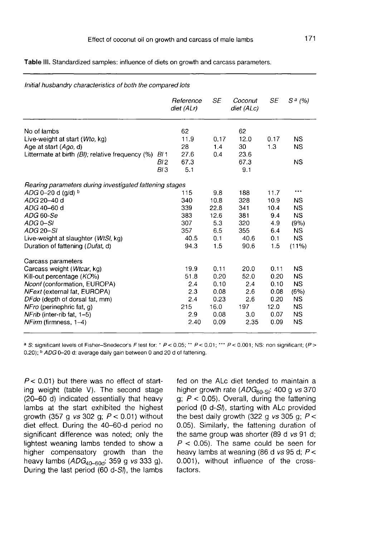Table III. Standardized samples: influence of diets on growth and carcass parameters.

|                                                         |                 | Reference<br>diet (ALr) | <b>SE</b> | Coconut<br>diet (ALc) | <b>SE</b> | $S^{a}$ (%) |
|---------------------------------------------------------|-----------------|-------------------------|-----------|-----------------------|-----------|-------------|
| No of lambs                                             |                 | 62                      |           | 62                    |           |             |
| Live-weight at start (Wto, kg)                          |                 | 11.9                    | 0.17      | 12.0                  | 0.17      | NS.         |
| Age at start (Ago, d)                                   |                 | 28                      | 1.4       | 30                    | 1.3       | <b>NS</b>   |
| Littermate at birth $(Bl)$ ; relative frequency $(\%)$  | <i>BI</i> 1     | 27.6                    | 0.4       | 23.6                  |           |             |
|                                                         | BI 2            | 67.3                    |           | 67.3                  |           | <b>NS</b>   |
|                                                         | BI <sub>3</sub> | 5.1                     |           | 9.1                   |           |             |
| Rearing parameters during investigated fattening stages |                 |                         |           |                       |           |             |
| $ADG$ 0-20 d (q/d) $b$                                  |                 | 115                     | 9.8       | 188                   | 11.7      | ***         |
| ADG 20-40 d                                             |                 | 340                     | 10.8      | 328                   | 10.9      | NS.         |
| ADG 40-60 d                                             |                 | 339                     | 22.8      | 341                   | 10.4      | <b>NS</b>   |
| ADG 60-Se                                               |                 | 383                     | 12.6      | 381                   | 9.4       | <b>NS</b>   |
| ADG 0-SI                                                |                 | 307                     | 5.3       | 320                   | 4.9       | (9%)        |
| ADG 20-SI                                               |                 | 357                     | 6.5       | 355                   | 6.4       | NS.         |
| Live-weight at slaughter ( <i>WtSI</i> , kg)            |                 | 40.5                    | 0.1       | 40.6                  | 0.1       | <b>NS</b>   |
| Duration of fattening (Dufat, d)                        |                 | 94.3                    | 1.5       | 90.6                  | 1.5       | $(11\%)$    |
| Carcass parameters                                      |                 |                         |           |                       |           |             |
| Carcass weight (Wtcar, kg)                              |                 | 19.9                    | 0.11      | 20.0                  | 0.11      | <b>NS</b>   |
| Kill-out percentage (KO%)                               |                 | 51.8                    | 0.20      | 52.0                  | 0.20      | <b>NS</b>   |
| Nconf (conformation, EUROPA)                            |                 | 2.4                     | 0.10      | 2.4                   | 0.10      | NS.         |
| NFext (external fat, EUROPA)                            |                 | 2.3                     | 0.08      | 2.6                   | 0.08      | (6%)        |
| DFdo (depth of dorsal fat, mm)                          |                 | 2.4                     | 0.23      | 2.6                   | 0.20      | <b>NS</b>   |
| NFro (perinephric fat, q)                               |                 | 215                     | 16.0      | 197                   | 12.0      | <b>NS</b>   |
| NFrib (inter-rib fat, 1-5)                              |                 | 2.9                     | 0.08      | 3.0                   | 0.07      | <b>NS</b>   |
| $NFirm$ (firmness, $1-4$ )                              |                 | 2.40                    | 0.09      | 2.35                  | 0.09      | <b>NS</b>   |

Initial husbandry characteristics of both the compared lots

<sup>a</sup> S: significant levels of Fisher-Snedecor's F test for: \* P < 0.05; \*\* P < 0.01; \*\*\* P < 0.001; NS: non significant; (P >

 $P < 0.01$ ) but there was no effect of starting weight (table V). The second stage (20-60 d) indicated essentially that heavy lambs at the start exhibited the highest growth (357 g vs 302 g;  $P < 0.01$ ) without diet effect. During the 40-60-d period no significant difference was noted; only the lightest weaning lambs tended to show a higher compensatory growth than the heavy lambs  $(ADG<sub>40–60d</sub>: 359 g vs 333 g).$ During the last period (60 d- $S$ ), the lambs

fed on the ALc diet tended to maintain a of tattening.<br>fed on the ALc diet tended to maintain a<br>higher growth rate  $(ADG_{60-Si}: 400 \text{ g} \text{ vs } 370 \text{ g}; P < 0.05)$ . Overall, during the fattening period  $(0 d-S)$ , starting with ALc provided the best daily growth (322 g  $vs$  305 g;  $P <$ 0.05). Similarly, the fattening duration of the same group was shorter (89 d vs 91 d;  $P < 0.05$ ). The same could be seen for heavy lambs at weaning (86 d  $vs$  95 d;  $P <$ 0.001), without influence of the crossfactors.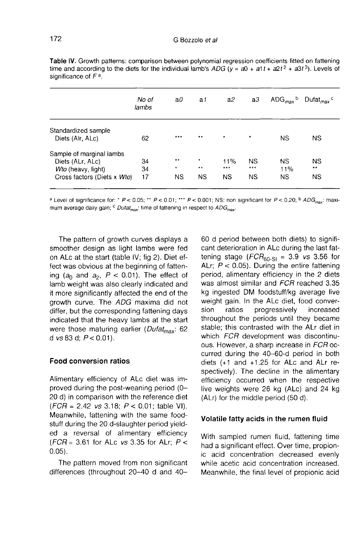|                                                                                                   | No of<br>lambs | a0                             | a1                          | a2                | a3                            | $ADG_{max}$ <sup>b</sup>      | Dufat <sub>max</sub> $\circ$    |
|---------------------------------------------------------------------------------------------------|----------------|--------------------------------|-----------------------------|-------------------|-------------------------------|-------------------------------|---------------------------------|
| Standardized sample<br>Diets (Alr, ALc)                                                           | 62             | $***$                          |                             | $\star$           | $\star$                       | ΝS                            | <b>NS</b>                       |
| Sample of marginal lambs<br>Diets (ALr, ALc)<br>Wto (heavy, light)<br>Cross factors (Diets x Wto) | 34<br>34<br>17 | $\star\star$<br>۰<br><b>NS</b> | ۰<br>$\bullet$<br><b>NS</b> | 11%<br>1.17<br>ΝS | <b>NS</b><br>***<br><b>NS</b> | <b>NS</b><br>11%<br><b>NS</b> | <b>NS</b><br>$* *$<br><b>NS</b> |

Table IV. Growth patterns: comparison between polynomial regression coefficients fitted on fattening time and according to the diets for the individual lamb's ADG ( $y = a0 + a1t + a2t^2 + a3t^3$ ). Levels of significance of  $F^a$ .

<sup>a</sup> Level of significance for: \* P < 0.05; \*\* P < 0.01; \*\* P < 0.001; NS: non significant for P < 0.20; <sup>b</sup> ADG<sub>max</sub>: maximum average daily gain;  $\circ$  Dufat<sub>max</sub>: time of fattening in respect to ADG<sub>max</sub>.

The pattern of growth curves displays a smoother design as light lambs were fed on ALc at the start (table IV; fig 2). Diet effect was obvious at the beginning of fattening ( $a_0$  and  $a_2$ ,  $P < 0.01$ ). The effect of lamb weight was also clearly indicated and it more significantly affected the end of the growth curve. The ADG maxima did not differ, but the corresponding fattening days indicated that the heavy lambs at the start<br>were those maturing earlier (*Dufat<sub>max</sub>*: 62<br>d vs 83 d;  $P > 0.01$ ) d vs 83 d;  $P < 0.01$ ).

# Food conversion ratios

Alimentary efficiency of ALc diet was improved during the post-weaning period (0- 20 d) in comparison with the reference diet  $(FCR = 2.42 \text{ vs } 3.18; P < 0.01; \text{ table VI}).$ Meanwhile, fattening with the same foodstuff during the 20 d-slaughter period yielded a reversal of alimentary efficiency  $(FCR = 3.61$  for ALc vs 3.35 for ALr;  $P <$ 0.05).

The pattern moved from non significant differences (throughout 20-40 d and 40-

60 d period between both diets) to significant deterioration in ALc during the last fat-60 d period between both diets) to significant deterioration in ALc during the last fattening stage ( $FCR_{60-S1} = 3.9$  vs 3.56 for ALr;  $P < 0.05$ ). During the entire fattening ALr;  $P < 0.05$ ). During the entire fattening period, alimentary efficiency in the 2 diets was almost similar and FCR reached 3.35 kg ingested DM foodstuff/kg average live weight gain. In the ALc diet, food conversion ratios progressively increased throughout the periods until they became stable; this contrasted with the ALr diet in which FCR development was discontinuous. However, a sharp increase in FCR occurred during the 40-60-d period in both diets (+1 and +1.25 for ALc and ALr respectively). The decline in the alimentary efficiency occurred when the respective live weights were 26 kg (ALc) and 24 kg (ALr) for the middle period (50 d).

# Volatile fatty acids in the rumen fluid

With sampled rumen fluid, fattening time had a significant effect. Over time, propionic acid concentration decreased evenly while acetic acid concentration increased. Meanwhile, the final level of propionic acid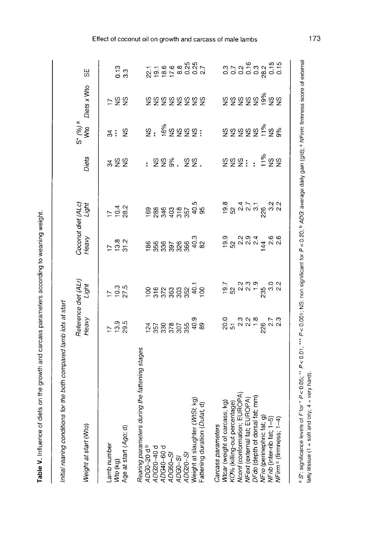| ואי המה ההבה ההבה המה ההה המה ו<br>֧֦֧֖֚֚֝֬֝֬ |
|-----------------------------------------------|
|                                               |
|                                               |
| ł<br>l                                        |
| $\vdots$                                      |
| ؚ<br>پ                                        |
|                                               |
|                                               |
| i                                             |
|                                               |
| ١<br>I                                        |

Initial rearing conditions for the both compared lamb lots at start

| Weight at start (Wto)                                                                                                                                                                                                                            | Reference diet (ALr)<br>Heavy Light                                                                                                                                                                                             |                                                                                                                                                                                                                                                                                                                     | Coconut diet (ALc)<br>Heavy Light               |                                                | Diets       | $S^*$ (%) <sup>a</sup><br>Wto | Diets x Wto | 58              |
|--------------------------------------------------------------------------------------------------------------------------------------------------------------------------------------------------------------------------------------------------|---------------------------------------------------------------------------------------------------------------------------------------------------------------------------------------------------------------------------------|---------------------------------------------------------------------------------------------------------------------------------------------------------------------------------------------------------------------------------------------------------------------------------------------------------------------|-------------------------------------------------|------------------------------------------------|-------------|-------------------------------|-------------|-----------------|
| Age at start (Ago; d)<br>Lamb number<br>Wto (kg)                                                                                                                                                                                                 | $\frac{5}{2}$ 3.5                                                                                                                                                                                                               | $\frac{17}{10.3}$                                                                                                                                                                                                                                                                                                   | $\frac{7}{1}$<br>$\frac{3}{3}$<br>$\frac{2}{3}$ | $724$<br>$724$<br>$28$                         | శ కి కి     |                               | 582         | $\frac{13}{33}$ |
| Rearing parameters during the fattening stages<br>ADG0–20 d <sup>b</sup>                                                                                                                                                                         |                                                                                                                                                                                                                                 |                                                                                                                                                                                                                                                                                                                     |                                                 |                                                |             |                               |             |                 |
| ADG20-40 d<br>ADG40-60 d<br>ADG60-SI<br>ADG0-SI                                                                                                                                                                                                  |                                                                                                                                                                                                                                 |                                                                                                                                                                                                                                                                                                                     |                                                 |                                                |             |                               |             |                 |
| Weight at slaughter (WtS/; kg<br>Fattening duration ( <i>Dufat</i> , d)<br>ADG20-SI                                                                                                                                                              | $\frac{1}{2}$ $\frac{2}{3}$ $\frac{2}{3}$ $\frac{2}{3}$ $\frac{2}{3}$ $\frac{2}{3}$ $\frac{2}{3}$ $\frac{2}{3}$ $\frac{2}{3}$ $\frac{2}{3}$ $\frac{2}{3}$ $\frac{2}{3}$ $\frac{2}{3}$ $\frac{2}{3}$ $\frac{2}{3}$ $\frac{2}{3}$ |                                                                                                                                                                                                                                                                                                                     |                                                 | 1888 499 509<br>1888 499 509 50<br>1899 509 50 | : 223. 22.  |                               | 999999999   |                 |
| Wtcar (weight of carcass; kg)<br>KO% (killing-out percentage)<br>Nconf (conformation; EUROPA)<br>NFext (external fat; EUROPA)<br>DFdo (depth of dorsal fat; mm)<br>NFr0 (perinephric fat; g)<br>NFrib (inter-rib fat; 1–5)<br>Carcass parameters | $20.75$ $7.79$ $7.79$ $7.79$ $7.79$ $7.79$ $7.79$                                                                                                                                                                               |                                                                                                                                                                                                                                                                                                                     |                                                 | 8<br>တို့ လက် မို့လက်<br>အိမ္မက အိမ္မက မိုး    | 888 : : 288 | ៜៜៜៜៜ៹៹ៜ                      |             |                 |
|                                                                                                                                                                                                                                                  |                                                                                                                                                                                                                                 |                                                                                                                                                                                                                                                                                                                     |                                                 |                                                |             |                               |             |                 |
| VFirm c (firmness; 1-4                                                                                                                                                                                                                           |                                                                                                                                                                                                                                 | $\frac{1}{2}$ $\frac{3}{2}$ $\frac{3}{2}$ $\frac{3}{2}$ $\frac{5}{2}$ $\frac{3}{2}$ $\frac{3}{2}$ $\frac{3}{2}$ $\frac{3}{2}$ $\frac{3}{2}$ $\frac{3}{2}$ $\frac{3}{2}$ $\frac{3}{2}$ $\frac{3}{2}$ $\frac{3}{2}$ $\frac{3}{2}$ $\frac{3}{2}$ $\frac{3}{2}$ $\frac{3}{2}$ $\frac{3}{2}$ $\frac{3}{2}$ $\frac{3}{2}$ |                                                 |                                                |             |                               | ៜ៑ៜៜៜៜ៓ៜៜ   |                 |
|                                                                                                                                                                                                                                                  |                                                                                                                                                                                                                                 |                                                                                                                                                                                                                                                                                                                     |                                                 |                                                |             |                               |             |                 |

Effect of coconut oil on growth and carcass of male lambs

a S': significance levels of F for \* P<0.05; "\* P<0.01; "\* P<0.001; NS: non significant for P <0.20; b ADG: average daily gain (g/d); 6 NFirm: firmness score of external

fatty titssue (1 = soft and oily;  $4 = \text{very hard}$ ).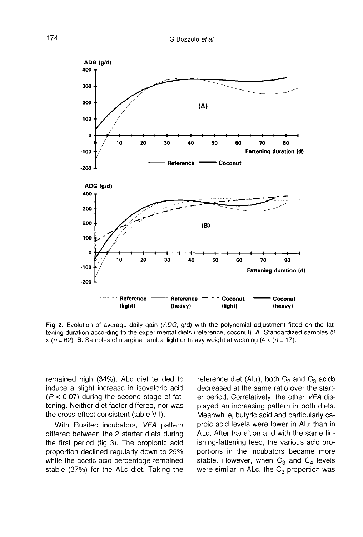

Fig 2. Evolution of average daily gain (ADG, g/d) with the polynomial adjustment fitted on the fattening duration according to the experimental diets (reference, coconut). A. Standardized samples (2 x ( $n = 62$ ). B. Samples of marginal lambs, light or heavy weight at weaning (4 x ( $n = 17$ ).

remained high (34%). ALc diet tended to induce a slight increase in isovaleric acid  $(P < 0.07)$  during the second stage of fattening. Neither diet factor differed, nor was the cross-effect consistent (table VII).

With Rusitec incubators, VFA pattern differed between the 2 starter diets during the first period (fig 3). The propionic acid proportion declined regularly down to 25% while the acetic acid percentage remained stable (37%) for the ALc diet. Taking the reference diet (ALr), both  $C_2$  and  $C_3$  acids decreased at the same ratio over the starter period. Correlatively, the other VFA displayed an increasing pattern in both diets. Meanwhile, butyric acid and particularly caproic acid levels were lower in ALr than in ALc. After transition and with the same finishing-fattening feed, the various acid proportions in the incubators became more stable. However, when  $C_3$  and  $C_4$  levels were similar in ALc, the  $C_3$  proportion was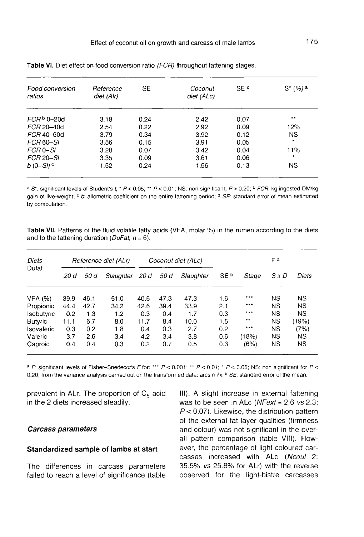| <b>Food conversion</b><br>ratios | Reference<br>diet (Alr) | SE   | Coconut<br>diet (ALc) | SE <sup>d</sup> | $S^*(%)$ a |
|----------------------------------|-------------------------|------|-----------------------|-----------------|------------|
| $FCRb$ 0-20d                     | 3.18                    | 0.24 | 2.42                  | 0.07            |            |
| FCR 20-40d                       | 2.54                    | 0.22 | 2.92                  | 0.09            | 12%        |
| FCR 40-60d                       | 3.79                    | 0.34 | 3.92                  | 0.12            | <b>NS</b>  |
| FCR 60-SI                        | 3.56                    | 0.15 | 3.91                  | 0.05            | ٠          |
| FCR 0-SI                         | 3.28                    | 0.07 | 3.42                  | 0.04            | 11%        |
| <b>FCR 20-SI</b>                 | 3.35                    | 0.09 | 3.61                  | 0.06            | $\star$    |
| $b(0-Sl)$ <sup>c</sup>           | 1.52                    | 0.24 | 1.56                  | 0.13            | NS.        |

Table VI. Diet effect on food conversion ratio (FCR) throughout fattening stages.

a S<sup>+</sup>: significant levels of Student's t; \* P < 0.05; \*\* P < 0.01; NS: non significant; P > 0.20; <sup>b</sup> FCR: kg ingested DM/kg gain of live-weight; <sup>e</sup> b: allometric coefficient on the entire fattening period; <sup>d</sup> SE: standard error of mean estimated by computation.

Table VII. Patterns of the fluid volatile fatty acids (VFA, molar %) in the rumen according to the diets and to the fattening duration ( $DuFat$ ,  $n = 6$ ).

| Diets          |      |      | Reference diet (ALr) |      |      | Coconut diet (ALc) |                 |       | Fа           |           |
|----------------|------|------|----------------------|------|------|--------------------|-----------------|-------|--------------|-----------|
| Dufat          | 20 d | 50 d | Slaughter            | 20 d | 50 d | Slaughter          | SE <sup>b</sup> | Stage | $S \times D$ | Diets     |
|                | 39.9 | 46.1 | 51.0                 | 40.6 | 47.3 | 47.3               | 1.6             | ***   | <b>NS</b>    | <b>NS</b> |
| VFA (%)        | 44.4 | 42.7 | 34.2                 | 42.6 | 39.4 | 33.9               | 2.1             | ***   | NS           | <b>NS</b> |
| Propionic      |      |      |                      |      |      |                    |                 | ***   |              |           |
| Isobutyric     | 0.2  | 1.3  | 1.2                  | 0.3  | 0.4  | 1.7                | 0.3             |       | <b>NS</b>    | <b>NS</b> |
| <b>Butyric</b> | 11.1 | 6.7  | 8.0                  | 11.7 | 8.4  | 10.0               | 1.5             | $+ +$ | <b>NS</b>    | (19%)     |
| Isovaleric     | 0.3  | 0.2  | 1.8                  | 0.4  | 0.3  | 2.7                | 0.2             | ***   | <b>NS</b>    | (7%)      |
| Valeric        | 3.7  | 2.6  | 3.4                  | 4.2  | 3.4  | 3.8                | 0.6             | (18%) | <b>NS</b>    | <b>NS</b> |
| Caproic        | 0.4  | 0.4  | 0.3                  | 0.2  | 0.7  | 0.5                | 0.3             | (6%)  | ΝS           | ΝS        |

<sup>a</sup> F: significant levels of Fisher-Snedecor's F for: \*\*\*  $P < 0.001$ ; \*\*  $P < 0.01$ ; \*  $P < 0.05$ ; NS: non significant for  $P <$ 0.20; from the variance analysis carried out on the transformed data: arcsin  $\sqrt{x}$ . **b** SE: standard error of the mean.

prevalent in ALr. The proportion of  $C_6$  acid in the 2 diets increased steadily.

# Carcass parameters

# Standardized sample of lambs at start

The differences in carcass parameters failed to reach a level of significance (table

III). A slight increase in external fattening was to be seen in ALc ( $NFext = 2.6$  vs 2.3;  $P < 0.07$ ). Likewise, the distribution pattern of the external fat layer qualities (firmness and colour) was not significant in the overall pattern comparison (table VIII). However, the percentage of light-coloured carcasses increased with ALc (Ncoul 2: 35.5% vs 25.8% for ALr) with the reverse observed for the light-bistre carcasses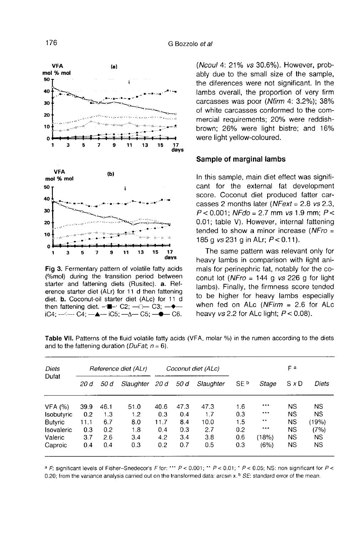

Fig 3. Fermentary pattern of volatile fatty acids (%mol) during the transition period between starter and fattening diets (Rusitec). a. Reference starter diet (ALr) for 11 d then fattening diet. b. Coconut-oil starter diet (ALc) for 11 d then fattening diet.  $-\blacksquare$ - C2;  $-\square$  C3;  $-\blacklozenge$ iC4;  $-\leftarrow$  C4;  $-\triangle$   $-\right)$  iC5;  $-\triangle$   $-\right)$  C5;  $-\bullet$  C6.

(Ncoul 4: 21% vs 30.6%). However, probably due to the small size of the sample, the diferences were not significant. In the lambs overall, the proportion of very firm carcasses was poor (Nfirm 4: 3.2%); 38% of white carcasses conformed to the commercial requirements; 20% were reddishbrown; 26% were light bistre; and 16% were light yellow-coloured.

#### Sample of marginal lambs

In this sample, main diet effect was significant for the external fat development score. Coconut diet produced fatter carcasses 2 months later (NFext = 2.8 vs 2.3,  $P < 0.001$ ; NFdo = 2.7 mm vs 1.9 mm;  $P < 0.01$ ; NFdo = 2.7 mm vs 1.9 mm;  $P < 0.04$ 0.01; table V). However, internal fattening tended to show a minor increase ( $NFro =$ 185 g  $vs 231$  g in ALr;  $P < 0.11$ ).

The same pattern was relevant only for heavy lambs in comparison with light animals for perinephric fat, notably for the coconut lot ( $NFro = 144$  g vs 226 g for light lambs). Finally, the firmness score tended to be higher for heavy lambs especially when fed on ALc  $(NFirm = 2.6$  for ALc heavy vs 2.2 for ALc light;  $P < 0.08$ ).

| Diets             | Reference diet (ALr) |      |           |      |      | Coconut diet (ALc) |                 |              | Fа        |           |
|-------------------|----------------------|------|-----------|------|------|--------------------|-----------------|--------------|-----------|-----------|
| Dufat             | 20 d                 | 50 d | Slaughter | 20 d | 50 d | Slaughter          | SE <sup>b</sup> | Stage        | SxD       | Diets     |
| VFA (%)           | 39.9                 | 46.1 | 51.0      | 40.6 | 47.3 | 47.3               | 1.6             | ***          | NS        | <b>NS</b> |
| <b>Isobutyric</b> | 0.2                  | 1.3  | 1.2       | 0.3  | 0.4  | 1.7                | 0.3             | ***          | NS        | <b>NS</b> |
| <b>Butyric</b>    | 11.1                 | 6.7  | 8.0       | 11.7 | 8.4  | 10.0               | 1.5             | $\star\star$ | NS        | (19%)     |
| Isovaleric        | 0.3                  | 0.2  | 1.8       | 0.4  | 0.3  | 2.7                | 0.2             | ***          | ΝS        | (7%)      |
| Valeric           | 3.7                  | 2.6  | 3.4       | 4.2  | 3.4  | 3.8                | 0.6             | (18%)        | <b>NS</b> | <b>NS</b> |
| Caproic           | 0.4                  | 0.4  | 0.3       | 0.2  | 0.7  | 0.5                | 0.3             | (6%)         | <b>NS</b> | <b>NS</b> |

Table VII. Patterns of the fluid volatile fatty acids (VFA, molar %) in the rumen according to the diets and to the fattening duration (*DuFat, n* = 6).

<sup>a</sup> F: significant levels of Fisher-Snedecor's F for: \*\*\*  $P < 0.001$ ; \*\*  $P < 0.01$ ; \*  $P < 0.05$ ; NS: non significant for P < 0.20; from the variance analysis carried out on the transformed data: arcsin x. b SE: standard error of the mean.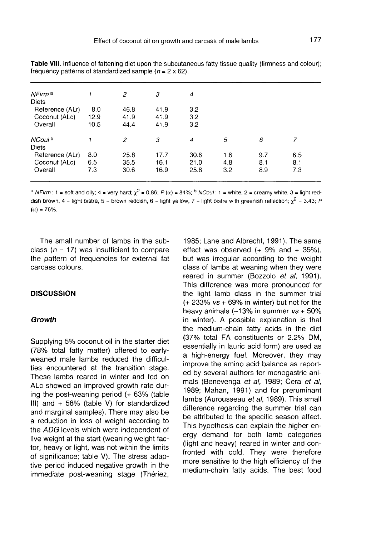| NFirm <sup>a</sup> |      | 2              | 3    | 4    |     |     |     |  |
|--------------------|------|----------------|------|------|-----|-----|-----|--|
| <b>Diets</b>       |      |                |      |      |     |     |     |  |
| Reference (ALr)    | 8.0  | 46.8           | 41.9 | 3.2  |     |     |     |  |
| Coconut (ALc)      | 12.9 | 41.9           | 41.9 | 3.2  |     |     |     |  |
| Overall            | 10.5 | 44.4           | 41.9 | 3.2  |     |     |     |  |
| NCoul <sup>b</sup> |      | $\overline{c}$ | 3    | 4    | 5   | 6   |     |  |
| <b>Diets</b>       |      |                |      |      |     |     |     |  |
| Reference (ALr)    | 8.0  | 25.8           | 17.7 | 30.6 | 1.6 | 9.7 | 6.5 |  |
| Coconut (ALc)      | 6.5  | 35.5           | 16.1 | 21.0 | 4.8 | 8.1 | 8.1 |  |
| Overall            | 7.3  | 30.6           | 16.9 | 25.8 | 3.2 | 8.9 | 7.3 |  |
|                    |      |                |      |      |     |     |     |  |

Table VIII. Influence of fattening diet upon the subcutaneous fatty tissue quality (firmness and colour); frequency patterns of standardized sample ( $n = 2 \times 62$ ).

<sup>a</sup> NFirm: 1 = soft and oily; 4 = very hard;  $\chi^2$  = 0.86; P (x) = 84%; <sup>b</sup> NCoul: 1 = white, 2 = creamy white, 3 = light reddish brown, 4 = light bistre, 5 = brown reddish, 6 = light yellow, 7 = light bistre with greenish reflection;  $\chi^2$  = 3.43; P  $(\alpha) = 76%$ .

The small number of lambs in the subclass ( $n = 17$ ) was insufficient to compare the pattern of frequencies for external fat carcass colours.

#### **DISCUSSION**

### Growth

Supplying 5% coconut oil in the starter diet (78% total fatty matter) offered to earlyweaned male lambs reduced the difficulties encountered at the transition stage. These lambs reared in winter and fed on ALc showed an improved growth rate during the post-weaning period (+ 63% (table III) and  $+58%$  (table V) for standardized and marginal samples). There may also be a reduction in loss of weight according to the ADG levels which were independent of live weight at the start (weaning weight factor, heavy or light, was not within the limits of significance; table V). The stress adaptive period induced negative growth in the immediate post-weaning stage (Thériez,

1985; Lane and Albrecht, 1991). The same effect was observed  $(+ 9\%$  and  $+ 35\%$ ), but was irregular according to the weight class of lambs at weaning when they were reared in summer (Bozzolo et al, 1991). This difference was more pronounced for the light lamb class in the summer trial  $(+ 233\% \text{ vs } + 69\% \text{ in winter})$  but not for the heavy animals  $(-13%$  in summer  $vs + 50%$ in winter). A possible explanation is that the medium-chain fatty acids in the diet (37% total FA constituents or 2.2% DM, essentially in lauric acid form) are used as a high-energy fuel. Moreover, they may improve the amino acid balance as reported by several authors for monogastric animals (Benevenga et al, 1989; Cera et al, 1989; Mahan, 1991) and for preruminant lambs (Aurousseau et al, 1989). This small difference regarding the summer trial can be attributed to the specific season effect. This hypothesis can explain the higher energy demand for both lamb categories (light and heavy) reared in winter and confronted with cold. They were therefore more sensitive to the high efficiency of the medium-chain fatty acids. The best food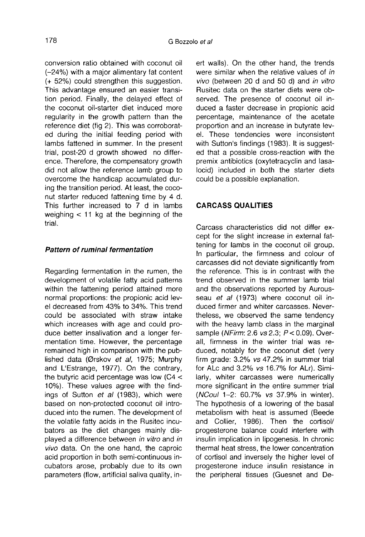conversion ratio obtained with coconut oil (-24%) with a major alimentary fat content (+ 52%) could strengthen this suggestion. This advantage ensured an easier transition period. Finally, the delayed effect of the coconut oil-starter diet induced more regularity in the growth pattern than the reference diet (fig 2). This was corroborated during the initial feeding period with lambs fattened in summer. In the present trial, post-20 d growth showed no difference. Therefore, the compensatory growth did not allow the reference lamb group to overcome the handicap accumulated during the transition period. At least, the coconut starter reduced fattening time by 4 d. This further increased to 7 d in lambs weighing  $<$  11 kg at the beginning of the trial.

# Pattern of ruminal fermentation

Regarding fermentation in the rumen, the development of volatile fatty acid patterns within the fattening period attained more normal proportions: the propionic acid level decreased from 43% to 34%. This trend could be associated with straw intake which increases with age and could produce better insalivation and a longer fermentation time. However, the percentage remained high in comparison with the published data (Ørskov et al, 1975; Murphy and L'Estrange, 1977). On the contrary, the butyric acid percentage was low (C4 < 10%). These values agree with the findings of Sutton et al (1983), which were based on non-protected coconut oil introduced into the rumen. The development of the volatile fatty acids in the Rusitec incubators as the diet changes mainly displayed a difference between in vitro and in vivo data. On the one hand, the caproic acid proportion in both semi-continuous incubators arose, probably due to its own parameters (flow, artificial saliva quality, inert walls). On the other hand, the trends were similar when the relative values of in vivo (between 20 d and 50 d) and in vitro Rusitec data on the starter diets were observed. The presence of coconut oil induced a faster decrease in propionic acid percentage, maintenance of the acetate proportion and an increase in butyrate level. These tendencies were inconsistent with Sutton's findings (1983). It is suggested that a possible cross-reaction with the premix antibiotics (oxytetracyclin and lasalocid) included in both the starter diets could be a possible explanation.

# CARCASS QUALITIES

Carcass characteristics did not differ except for the slight increase in external fattening for lambs in the coconut oil group. In particular, the firmness and colour of carcasses did not deviate significantly from the reference. This is in contrast with the trend observed in the summer lamb trial and the observations reported by Aurousseau et al (1973) where coconut oil induced firmer and whiter carcasses. Nevertheless, we observed the same tendency with the heavy lamb class in the marginal sample (NFirm: 2.6 vs 2.3;  $P < 0.09$ ). Overall, firmness in the winter trial was reduced, notably for the coconut diet (very firm grade: 3.2% vs 47.2% in summer trial for ALc and 3.2% vs 16.7% for ALr). Similarly, whiter carcasses were numerically more significant in the entire summer trial (NCoul 1-2: 60.7% vs 37.9% in winter). The hypothesis of a lowering of the basal metabolism with heat is assumed (Beede and Collier, 1986). Then the cortisol/ progesterone balance could interfere with insulin implication in lipogenesis. In chronic thermal heat stress, the lower concentration of cortisol and inversely the higher level of progesterone induce insulin resistance in the peripheral tissues (Guesnet and De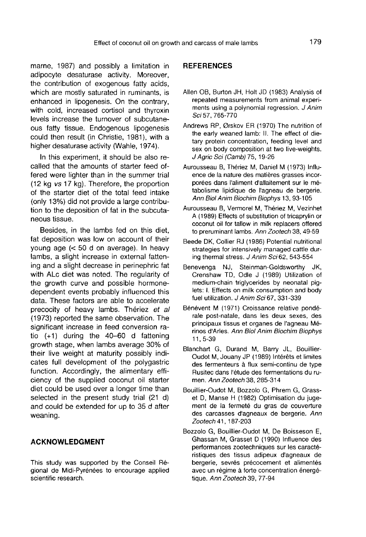marne, 1987) and possibly a limitation in adipocyte desaturase activity. Moreover, the contribution of exogenous fatty acids, which are mostly saturated in ruminants, is enhanced in lipogenesis. On the contrary, with cold, increased cortisol and thyroxin levels increase the turnover of subcutaneous fatty tissue. Endogenous lipogenesis could then result (in Christie, 1981), with a higher desaturase activity (Wahle, 1974).

In this experiment, it should be also recalled that the amounts of starter feed offered were lighter than in the summer trial (12 kg vs 17 kg). Therefore, the proportion of the starter diet of the total feed intake (only 13%) did not provide a large contribution to the deposition of fat in the subcutaneous tissue.

Besides, in the lambs fed on this diet, fat deposition was low on account of their young age (< 50 d on average). In heavy lambs, a slight increase in external fattening and a slight decrease in perinephric fat with ALc diet was noted. The regularity of the growth curve and possible hormonedependent events probably influenced this data. These factors are able to accelerate precocity of heavy lambs. Thériez et al (1973) reported the same observation. The significant increase in feed conversion ratio  $(+1)$  during the  $40-60$  d fattening growth stage, when lambs average 30% of their live weight at maturity possibly indicates full development of the polygastric function. Accordingly, the alimentary efficiency of the supplied coconut oil starter diet could be used over a longer time than selected in the present study trial (21 d) and could be extended for up to 35 d after weaning.

# ACKNOWLEDGMENT

This study was supported by the Conseil Regional de Midi-Pyrénées to encourage applied scientific research.

# **REFERENCES**

- Allen OB, Burton JH, Holt JD (1983) Analysis of repeated measurements from animal experi ments using a polynomial regression. J Anim Sci 57, 765-770
- Andrews RP, 0rskov ER (1970) The nutrition of the early weaned lamb: II. The effect of dietary protein concentration, feeding level and sex on body composition at two live-weights. J Agric Sci (Camb) 75, 19-26
- Aurousseau B, Thériez M, Daniel M (1973) Influence de la nature des matières grasses incorporées dans l'aliment d'allaitement sur le métabolisme lipidique de I'agneau de bergerie. Ann Biol Anim Biochim Biophys 13, 93-105
- Aurousseau B, Vermorel M, Theriez M, Vezinhet A (1989) Effects of substitution of tricaprylin or coconut oil for tallow in milk replacers offered to preruminant lambs. Ann Zootech 38, 49-59
- Beede DK, Collier RJ (1986) Potential nutritional strategies for intensively managed cattle during thermal stress. J Anim Sci 62, 543-554
- Benevenga NJ, Steinman-Goldsworthy JK, Crenshaw TD, Odle J (1989) Utilization of medium-chain triglycerides by neonatal piglets: I. Effects on milk consumption and body fuel utilization. J Anim Sci 67, 331-339
- Bénévent M (1971) Croissance relative pond6 rale post-natale, dans les deux sexes, des principaux tissus et organes de I'agneau Merinos d'Arles. Ann Biol Anim Biochim Biophys 11, 5-39
- Blanchart G, Durand M, Barry JL, Bouillier-Oudot M, Jouany JP (1989) Interets et limites des fermenteurs a flux semi-continu de type Rusitec dans 1'6tude des fermentations du rumen. Ann Zootech 38, 285-314
- Bouillier-Oudot M, Bozzolo G, Phrem G, Grasset D, Manse H (1982) Optimisation du juge ment de la fermeté du gras de couverture des carcasses d'agneaux de bergerie. Ann Zootech 41, 187-203
- Bozzolo G, Bouillier-Oudot M, De Boisseson E, Ghassan M, Grasset D (1990) Influence des performances zootechniques sur les caractéristiques des tissus adipeux d'agneaux de bergerie, sevrés précocement et alimentés avec un régime à forte concentration énergétique. Ann Zootech 39, 77-94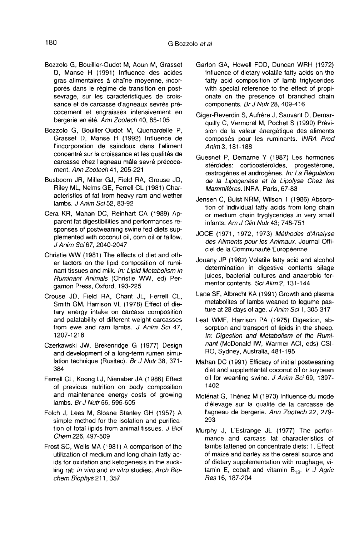- Bozzolo G, Bouillier-Oudot M, Aoun M, Grasset D, Manse H (1991) Influence des acides gras alimentaires a chaine moyenne, incorporés dans le régime de transition en postsevrage, sur les caractéristiques de croissance et de carcasse d'agneaux sevrés précocement et engraissés intensivement en bergerie en été. Ann Zootech 40, 85-105
- Bozzolo G, Bouiller-Oudot M, Quenardelle P, Grasset D, Manse H (1992) Influence de I'incorporation de saindoux dans I'aliment concentré sur la croissance et les qualités de carcasse chez l'agneau mâle sevré précocement. Ann Zootech 41, 205-221
- Busboom JR, Miller GJ, Field RA, Grouse JD, Riley ML, Nelms GE, Ferrell CL (1981) Characteristics of fat from heavy ram and wether lambs. J Anim Sci 52, 83-92
- Cera KR, Mahan DC, Reinhart CA (1989) Apparent fat digestibilities and performances responses of postweaning swine fed diets supplemented with coconut oil, corn oil or tallow. J Anim Sci 67, 2040-2047
- Christie WW (1981) The effects of diet and other factors on the lipid composition of ruminant tissues and milk. In: Lipid Metabolism in Ruminant Animals (Christie WW, ed) Pergamon Press, Oxford, 193-225
- Crouse JD, Field RA, Chant JL, Ferrell CL, Smith GM, Harrison VL (1978) Effect of dietary energy intake on carcass composition and palatability of different weight carcasses from ewe and ram lambs. J Anim Sci 47, 1207-1218
- Czerkawski JW, Brekenridge G (1977) Design and development of a long-term rumen simulation technique (Rusitec). Br J Nutr 38, 371- 384
- Ferrell CL, Koong LJ, Nienaber JA (1986) Effect of previous nutrition on body composition and maintenance energy costs of growing lambs. Br J Nutr 56, 595-605
- Folch J, Lees M, Sloane Stanley GH (1957) A simple method for the isolation and purification of total lipids from animal tissues. J Biol Chem 226, 497-509
- Frost SC, Wells MA (1981) A comparison of the utilization of medium and long chain fatty acids for oxidation and ketogenesis in the suckling rat: in vivo and in vitro studies. Arch Biochem Biophys 211, 357
- Garton GA, Howell FDD, Duncan WRH (1972) Influence of dietary volatile fatty acids on the fatty acid composition of lamb triglycerides with special reference to the effect of propionate on the presence of branched chain components. Br J Nutr 28, 409-416
- Giger-Reverdin S, Aufrère J, Sauvant D, Demarquilly C, Vermorel M, Pochet S (1990) Prévision de la valeur énergétique des aliments composés pour les ruminants. INRA Prod Anim 3, 181-188
- Guesnet P, Demarne Y (1987) Les hormones stéroïdes: corticostéroïdes, progestérone, cestrogènes et androgènes. In: La Régulation de la Lipogenèse et la Lipolyse Chez les Mammifères. INRA, Paris, 67-83
- Jensen C, Buist NRM, Wilson T (1986) Absorption of individual fatty acids from long chain or medium chain tryglycerides in very small infants.  $AmJ$  Clin Nutr 43; 748-751
- JOCE (1971, 1972, 1973) Méthodes d'Analyse des Aliments pour les Animaux. Journal Officiel de la Communauté Européenne
- Jouany JP (1982) Volatile fatty acid and alcohol determination in digestive contents silage juices, bacterial cultures and anaerobic fermentor contents. Sci Alim 2, 131-144
- Lane SF, Albrecht KA (1991) Growth and plasma metabolites of lambs weaned to legume pasture at 28 days of age. J Anim Sci 1, 305-317
- Leat WMF, Harrison PA (1975) Digestion, absorption and transport of lipids in the sheep. In: Digestion and Metabolism of the Ruminant (McDonald IW, Warmer ACI, eds) CSI-RO, Sydney, Australia, 481-195
- Mahan DC (1991) Efficacy of initial postweaning diet and supplemental coconut oil or soybean oil for weanling swine. J Anim Sci 69, 1397-1402
- Molenat G, Thériez M (1973) Influence du mode d'élevage sur la qualité de la carcasse de l'agneau de bergerie. Ann Zootech 22, 279-293
- Murphy J, L'Estrange JL (1977) The perfor mance and carcass fat characteristics of lambs fattened on concentrate diets: 1. Effect of maize and barley as the cereal source and of dietary supplementation with roughage, vitamin E, cobalt and vitamin  $B_{12}$ . Ir J Agric Res 16, 187-204